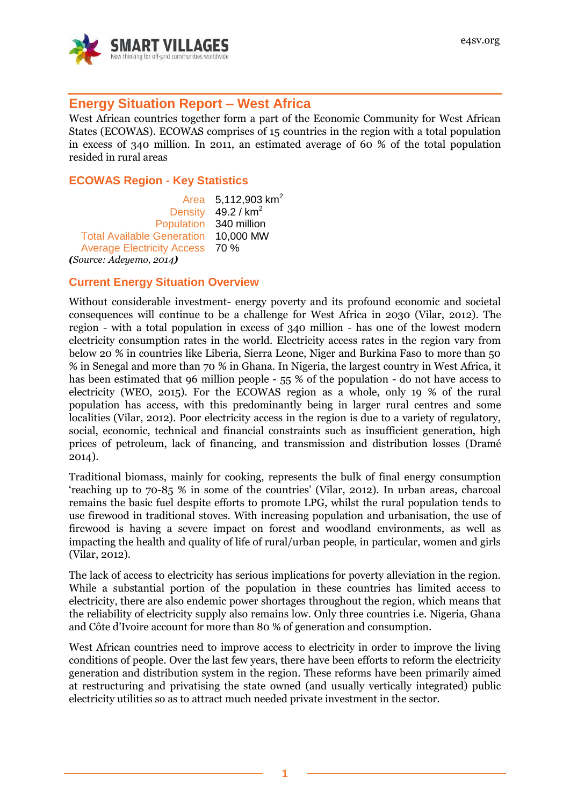

# **Energy Situation Report – West Africa**

West African countries together form a part of the Economic Community for West African States (ECOWAS). ECOWAS comprises of 15 countries in the region with a total population in excess of 340 million. In 2011, an estimated average of 60 % of the total population resided in rural areas

### **ECOWAS Region - Key Statistics**

Area 5,112,903 km<sup>2</sup> Density  $49.2 / km<sup>2</sup>$ Population 340 million Total Available Generation 10,000 MW Average Electricity Access 70 % *(Source: Adeyemo, 2014)*

#### **Current Energy Situation Overview**

Without considerable investment- energy poverty and its profound economic and societal consequences will continue to be a challenge for West Africa in 2030 (Vilar, 2012). The region - with a total population in excess of 340 million - has one of the lowest modern electricity consumption rates in the world. Electricity access rates in the region vary from below 20 % in countries like Liberia, Sierra Leone, Niger and Burkina Faso to more than 50 % in Senegal and more than 70 % in Ghana. In Nigeria, the largest country in West Africa, it has been estimated that 96 million people - 55 % of the population - do not have access to electricity (WEO, 2015). For the ECOWAS region as a whole, only 19 % of the rural population has access, with this predominantly being in larger rural centres and some localities (Vilar, 2012). Poor electricity access in the region is due to a variety of regulatory, social, economic, technical and financial constraints such as insufficient generation, high prices of petroleum, lack of financing, and transmission and distribution losses (Dramé 2014).

Traditional biomass, mainly for cooking, represents the bulk of final energy consumption 'reaching up to 70-85 % in some of the countries' (Vilar, 2012). In urban areas, charcoal remains the basic fuel despite efforts to promote LPG, whilst the rural population tends to use firewood in traditional stoves. With increasing population and urbanisation, the use of firewood is having a severe impact on forest and woodland environments, as well as impacting the health and quality of life of rural/urban people, in particular, women and girls (Vilar, 2012).

The lack of access to electricity has serious implications for poverty alleviation in the region. While a substantial portion of the population in these countries has limited access to electricity, there are also endemic power shortages throughout the region, which means that the reliability of electricity supply also remains low. Only three countries i.e. Nigeria, Ghana and Côte d'Ivoire account for more than 80 % of generation and consumption.

West African countries need to improve access to electricity in order to improve the living conditions of people. Over the last few years, there have been efforts to reform the electricity generation and distribution system in the region. These reforms have been primarily aimed at restructuring and privatising the state owned (and usually vertically integrated) public electricity utilities so as to attract much needed private investment in the sector.

**1**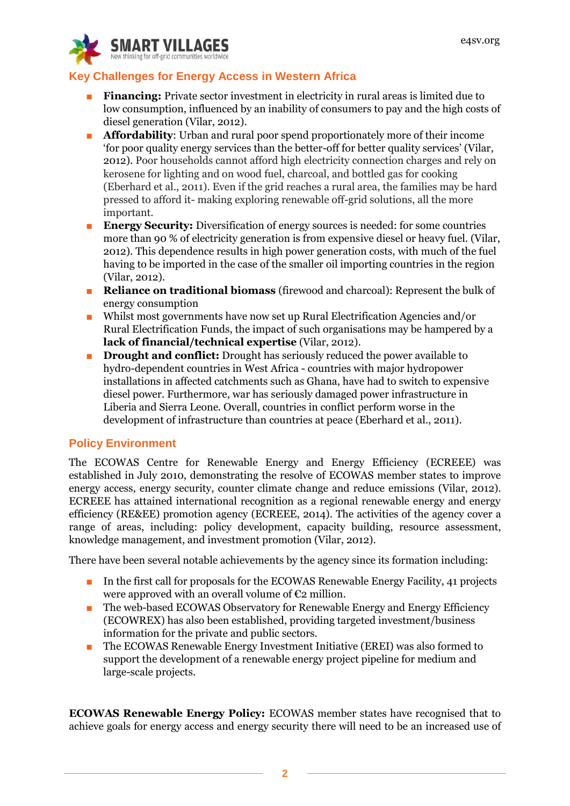

# **Key Challenges for Energy Access in Western Africa**

- **Financing:** Private sector investment in electricity in rural areas is limited due to low consumption, influenced by an inability of consumers to pay and the high costs of diesel generation (Vilar, 2012).
- **Affordability**: Urban and rural poor spend proportionately more of their income 'for poor quality energy services than the better-off for better quality services' (Vilar, 2012). Poor households cannot afford high electricity connection charges and rely on kerosene for lighting and on wood fuel, charcoal, and bottled gas for cooking (Eberhard et al., 2011). Even if the grid reaches a rural area, the families may be hard pressed to afford it- making exploring renewable off-grid solutions, all the more important.
- **Energy Security:** Diversification of energy sources is needed: for some countries more than 90 % of electricity generation is from expensive diesel or heavy fuel. (Vilar, 2012). This dependence results in high power generation costs, with much of the fuel having to be imported in the case of the smaller oil importing countries in the region (Vilar, 2012).
- **Reliance on traditional biomass** (firewood and charcoal): Represent the bulk of energy consumption
- Whilst most governments have now set up Rural Electrification Agencies and/or Rural Electrification Funds, the impact of such organisations may be hampered by a **lack of financial/technical expertise** (Vilar, 2012).
- **Drought and conflict:** Drought has seriously reduced the power available to hydro-dependent countries in West Africa - countries with major hydropower installations in affected catchments such as Ghana, have had to switch to expensive diesel power. Furthermore, war has seriously damaged power infrastructure in Liberia and Sierra Leone. Overall, countries in conflict perform worse in the development of infrastructure than countries at peace (Eberhard et al., 2011).

# **Policy Environment**

The ECOWAS Centre for Renewable Energy and Energy Efficiency (ECREEE) was established in July 2010, demonstrating the resolve of ECOWAS member states to improve energy access, energy security, counter climate change and reduce emissions (Vilar, 2012). ECREEE has attained international recognition as a regional renewable energy and energy efficiency (RE&EE) promotion agency (ECREEE, 2014). The activities of the agency cover a range of areas, including: policy development, capacity building, resource assessment, knowledge management, and investment promotion (Vilar, 2012).

There have been several notable achievements by the agency since its formation including:

- In the first call for proposals for the ECOWAS Renewable Energy Facility, 41 projects were approved with an overall volume of  $\epsilon_2$  million.
- The web-based ECOWAS Observatory for Renewable Energy and Energy Efficiency (ECOWREX) has also been established, providing targeted investment/business information for the private and public sectors.
- The ECOWAS Renewable Energy Investment Initiative (EREI) was also formed to support the development of a renewable energy project pipeline for medium and large-scale projects.

**ECOWAS Renewable Energy Policy:** ECOWAS member states have recognised that to achieve goals for energy access and energy security there will need to be an increased use of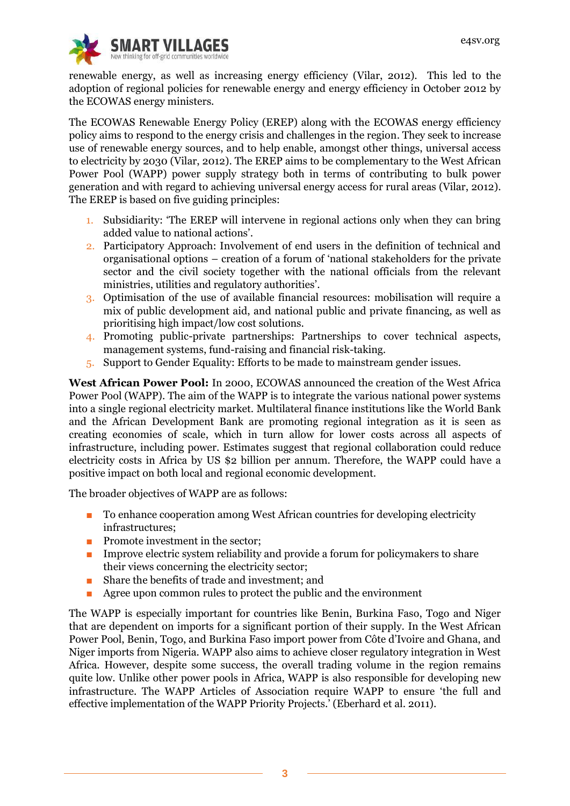

renewable energy, as well as increasing energy efficiency (Vilar, 2012). This led to the adoption of regional policies for renewable energy and energy efficiency in October 2012 by the ECOWAS energy ministers.

The ECOWAS Renewable Energy Policy (EREP) along with the ECOWAS energy efficiency policy aims to respond to the energy crisis and challenges in the region. They seek to increase use of renewable energy sources, and to help enable, amongst other things, universal access to electricity by 2030 (Vilar, 2012). The EREP aims to be complementary to the West African Power Pool (WAPP) power supply strategy both in terms of contributing to bulk power generation and with regard to achieving universal energy access for rural areas (Vilar, 2012). The EREP is based on five guiding principles:

- 1. Subsidiarity: 'The EREP will intervene in regional actions only when they can bring added value to national actions'.
- 2. Participatory Approach: Involvement of end users in the definition of technical and organisational options – creation of a forum of 'national stakeholders for the private sector and the civil society together with the national officials from the relevant ministries, utilities and regulatory authorities'.
- 3. Optimisation of the use of available financial resources: mobilisation will require a mix of public development aid, and national public and private financing, as well as prioritising high impact/low cost solutions.
- 4. Promoting public-private partnerships: Partnerships to cover technical aspects, management systems, fund-raising and financial risk-taking.
- 5. Support to Gender Equality: Efforts to be made to mainstream gender issues.

**West African Power Pool:** In 2000, ECOWAS announced the creation of the West Africa Power Pool (WAPP). The aim of the WAPP is to integrate the various national power systems into a single regional electricity market. Multilateral finance institutions like the World Bank and the African Development Bank are promoting regional integration as it is seen as creating economies of scale, which in turn allow for lower costs across all aspects of infrastructure, including power. Estimates suggest that regional collaboration could reduce electricity costs in Africa by US \$2 billion per annum. Therefore, the WAPP could have a positive impact on both local and regional economic development.

The broader objectives of WAPP are as follows:

- To enhance cooperation among West African countries for developing electricity infrastructures;
- Promote investment in the sector;
- Improve electric system reliability and provide a forum for policymakers to share their views concerning the electricity sector;
- Share the benefits of trade and investment; and
- Agree upon common rules to protect the public and the environment

The WAPP is especially important for countries like Benin, Burkina Faso, Togo and Niger that are dependent on imports for a significant portion of their supply. In the West African Power Pool, Benin, Togo, and Burkina Faso import power from Côte d'Ivoire and Ghana, and Niger imports from Nigeria. WAPP also aims to achieve closer regulatory integration in West Africa. However, despite some success, the overall trading volume in the region remains quite low. Unlike other power pools in Africa, WAPP is also responsible for developing new infrastructure. The WAPP Articles of Association require WAPP to ensure 'the full and effective implementation of the WAPP Priority Projects.' (Eberhard et al. 2011).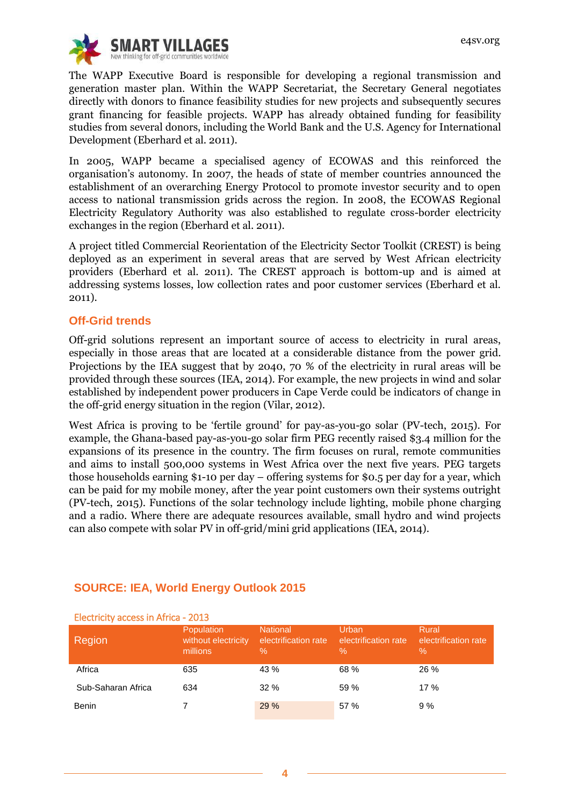

The WAPP Executive Board is responsible for developing a regional transmission and generation master plan. Within the WAPP Secretariat, the Secretary General negotiates directly with donors to finance feasibility studies for new projects and subsequently secures grant financing for feasible projects. WAPP has already obtained funding for feasibility studies from several donors, including the World Bank and the U.S. Agency for International Development (Eberhard et al. 2011).

In 2005, WAPP became a specialised agency of ECOWAS and this reinforced the organisation's autonomy. In 2007, the heads of state of member countries announced the establishment of an overarching Energy Protocol to promote investor security and to open access to national transmission grids across the region. In 2008, the ECOWAS Regional Electricity Regulatory Authority was also established to regulate cross-border electricity exchanges in the region (Eberhard et al. 2011).

A project titled Commercial Reorientation of the Electricity Sector Toolkit (CREST) is being deployed as an experiment in several areas that are served by West African electricity providers (Eberhard et al. 2011). The CREST approach is bottom-up and is aimed at addressing systems losses, low collection rates and poor customer services (Eberhard et al. 2011).

#### **Off-Grid trends**

Off-grid solutions represent an important source of access to electricity in rural areas, especially in those areas that are located at a considerable distance from the power grid. Projections by the IEA suggest that by 2040, 70 % of the electricity in rural areas will be provided through these sources (IEA, 2014). For example, the new projects in wind and solar established by independent power producers in Cape Verde could be indicators of change in the off-grid energy situation in the region (Vilar, 2012).

West Africa is proving to be 'fertile ground' for pay-as-you-go solar (PV-tech, 2015). For example, the Ghana-based pay-as-you-go solar firm PEG recently raised \$3.4 million for the expansions of its presence in the country. The firm focuses on rural, remote communities and aims to install 500,000 systems in West Africa over the next five years. PEG targets those households earning \$1-10 per day – offering systems for \$0.5 per day for a year, which can be paid for my mobile money, after the year point customers own their systems outright (PV-tech, 2015). Functions of the solar technology include lighting, mobile phone charging and a radio. Where there are adequate resources available, small hydro and wind projects can also compete with solar PV in off-grid/mini grid applications (IEA, 2014).

| LICULIUILY GUUDD III MIIIUG - 2013 |                                                      |                                                 |                                       |                                       |  |  |  |
|------------------------------------|------------------------------------------------------|-------------------------------------------------|---------------------------------------|---------------------------------------|--|--|--|
| Region                             | <b>Population</b><br>without electricity<br>millions | <b>National</b><br>electrification rate<br>$\%$ | Urban<br>electrification rate<br>$\%$ | Rural<br>electrification rate<br>$\%$ |  |  |  |
| Africa                             | 635                                                  | 43 %                                            | 68 %                                  | 26 %                                  |  |  |  |
| Sub-Saharan Africa                 | 634                                                  | 32%                                             | 59 %                                  | 17%                                   |  |  |  |
| <b>Benin</b>                       |                                                      | 29 %                                            | 57 %                                  | 9%                                    |  |  |  |

# **SOURCE: IEA, World Energy Outlook 2015**

#### Electricity access in Africa - 2013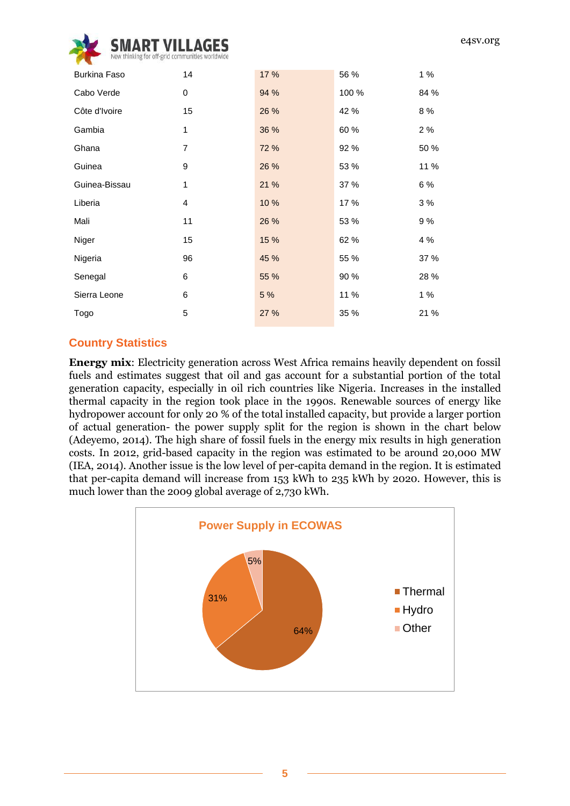

| Burkina Faso  | 14 | 17 % | 56 %  | 1%   |
|---------------|----|------|-------|------|
| Cabo Verde    | 0  | 94 % | 100 % | 84 % |
| Côte d'Ivoire | 15 | 26 % | 42 %  | 8 %  |
| Gambia        | 1  | 36 % | 60 %  | 2%   |
| Ghana         | 7  | 72 % | 92 %  | 50 % |
| Guinea        | 9  | 26 % | 53 %  | 11 % |
| Guinea-Bissau | 1  | 21 % | 37 %  | 6 %  |
| Liberia       | 4  | 10%  | 17 %  | 3%   |
| Mali          | 11 | 26 % | 53 %  | 9 %  |
| Niger         | 15 | 15 % | 62 %  | 4 %  |
| Nigeria       | 96 | 45 % | 55 %  | 37 % |
| Senegal       | 6  | 55 % | 90 %  | 28 % |
| Sierra Leone  | 6  | 5 %  | 11 %  | 1 %  |
| Togo          | 5  | 27 % | 35 %  | 21 % |
|               |    |      |       |      |

### **Country Statistics**

**Energy mix**: Electricity generation across West Africa remains heavily dependent on fossil fuels and estimates suggest that oil and gas account for a substantial portion of the total generation capacity, especially in oil rich countries like Nigeria. Increases in the installed thermal capacity in the region took place in the 1990s. Renewable sources of energy like hydropower account for only 20 % of the total installed capacity, but provide a larger portion of actual generation- the power supply split for the region is shown in the chart below (Adeyemo, 2014). The high share of fossil fuels in the energy mix results in high generation costs. In 2012, grid-based capacity in the region was estimated to be around 20,000 MW (IEA, 2014). Another issue is the low level of per-capita demand in the region. It is estimated that per-capita demand will increase from 153 kWh to 235 kWh by 2020. However, this is much lower than the 2009 global average of 2,730 kWh.

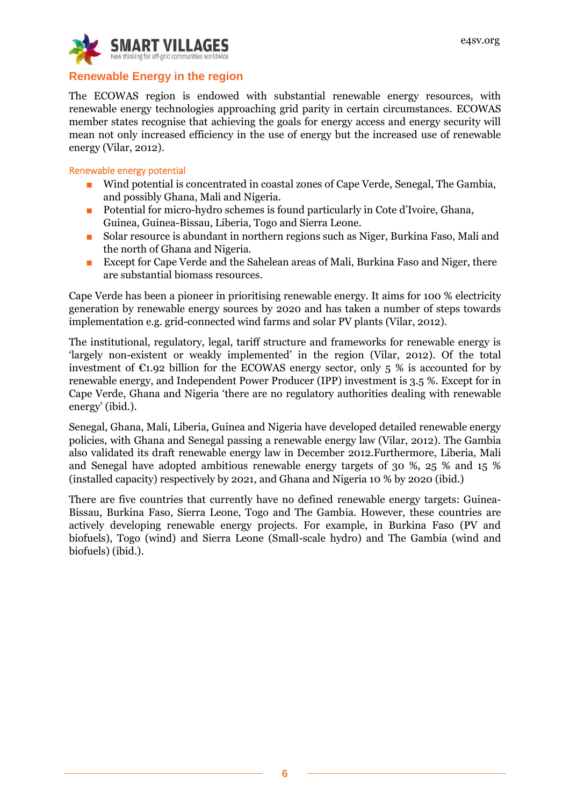

## **Renewable Energy in the region**

The ECOWAS region is endowed with substantial renewable energy resources, with renewable energy technologies approaching grid parity in certain circumstances. ECOWAS member states recognise that achieving the goals for energy access and energy security will mean not only increased efficiency in the use of energy but the increased use of renewable energy (Vilar, 2012).

#### Renewable energy potential

- Wind potential is concentrated in coastal zones of Cape Verde, Senegal, The Gambia, and possibly Ghana, Mali and Nigeria.
- Potential for micro-hydro schemes is found particularly in Cote d'Ivoire, Ghana, Guinea, Guinea-Bissau, Liberia, Togo and Sierra Leone.
- Solar resource is abundant in northern regions such as Niger, Burkina Faso, Mali and the north of Ghana and Nigeria.
- Except for Cape Verde and the Sahelean areas of Mali, Burkina Faso and Niger, there are substantial biomass resources.

Cape Verde has been a pioneer in prioritising renewable energy. It aims for 100 % electricity generation by renewable energy sources by 2020 and has taken a number of steps towards implementation e.g. grid-connected wind farms and solar PV plants (Vilar, 2012).

The institutional, regulatory, legal, tariff structure and frameworks for renewable energy is 'largely non-existent or weakly implemented' in the region (Vilar, 2012). Of the total investment of  $\epsilon$ 1.92 billion for the ECOWAS energy sector, only 5 % is accounted for by renewable energy, and Independent Power Producer (IPP) investment is 3.5 %. Except for in Cape Verde, Ghana and Nigeria 'there are no regulatory authorities dealing with renewable energy' (ibid.).

Senegal, Ghana, Mali, Liberia, Guinea and Nigeria have developed detailed renewable energy policies, with Ghana and Senegal passing a renewable energy law (Vilar, 2012). The Gambia also validated its draft renewable energy law in December 2012.Furthermore, Liberia, Mali and Senegal have adopted ambitious renewable energy targets of 30 %, 25 % and 15 % (installed capacity) respectively by 2021, and Ghana and Nigeria 10 % by 2020 (ibid.)

There are five countries that currently have no defined renewable energy targets: Guinea-Bissau, Burkina Faso, Sierra Leone, Togo and The Gambia. However, these countries are actively developing renewable energy projects. For example, in Burkina Faso (PV and biofuels), Togo (wind) and Sierra Leone (Small-scale hydro) and The Gambia (wind and biofuels) (ibid.).